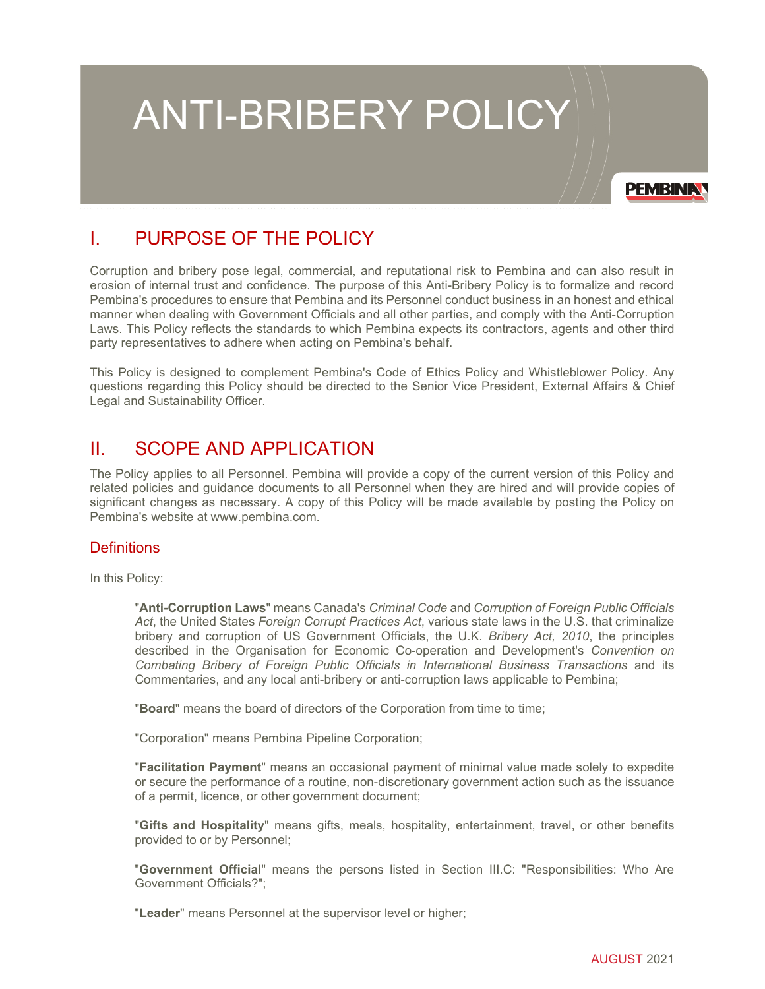# ANTI-BRIBERY POLICY

**PEMBINAT** 

# I. PURPOSE OF THE POLICY

Corruption and bribery pose legal, commercial, and reputational risk to Pembina and can also result in erosion of internal trust and confidence. The purpose of this Anti-Bribery Policy is to formalize and record Pembina's procedures to ensure that Pembina and its Personnel conduct business in an honest and ethical manner when dealing with Government Officials and all other parties, and comply with the Anti-Corruption Laws. This Policy reflects the standards to which Pembina expects its contractors, agents and other third party representatives to adhere when acting on Pembina's behalf.

This Policy is designed to complement Pembina's Code of Ethics Policy and Whistleblower Policy. Any questions regarding this Policy should be directed to the Senior Vice President, External Affairs & Chief Legal and Sustainability Officer.

# II. SCOPE AND APPLICATION

The Policy applies to all Personnel. Pembina will provide a copy of the current version of this Policy and related policies and guidance documents to all Personnel when they are hired and will provide copies of significant changes as necessary. A copy of this Policy will be made available by posting the Policy on Pembina's website at [www.pembina.com.](http://www.pembina.com/)

# **Definitions**

In this Policy:

"**Anti-Corruption Laws**" means Canada's *Criminal Code* and *Corruption of Foreign Public Officials Act*, the United States *Foreign Corrupt Practices Act*, various state laws in the U.S. that criminalize bribery and corruption of US Government Officials, the U.K. *Bribery Act, 2010*, the principles described in the Organisation for Economic Co-operation and Development's *Convention on Combating Bribery of Foreign Public Officials in International Business Transactions* and its Commentaries, and any local anti-bribery or anti-corruption laws applicable to Pembina;

"**Board**" means the board of directors of the Corporation from time to time;

"Corporation" means Pembina Pipeline Corporation;

"**Facilitation Payment**" means an occasional payment of minimal value made solely to expedite or secure the performance of a routine, non-discretionary government action such as the issuance of a permit, licence, or other government document;

"**Gifts and Hospitality**" means gifts, meals, hospitality, entertainment, travel, or other benefits provided to or by Personnel;

"**Government Official**" means the persons listed in Section III.C: "Responsibilities: Who Are Government Officials?";

"**Leader**" means Personnel at the supervisor level or higher;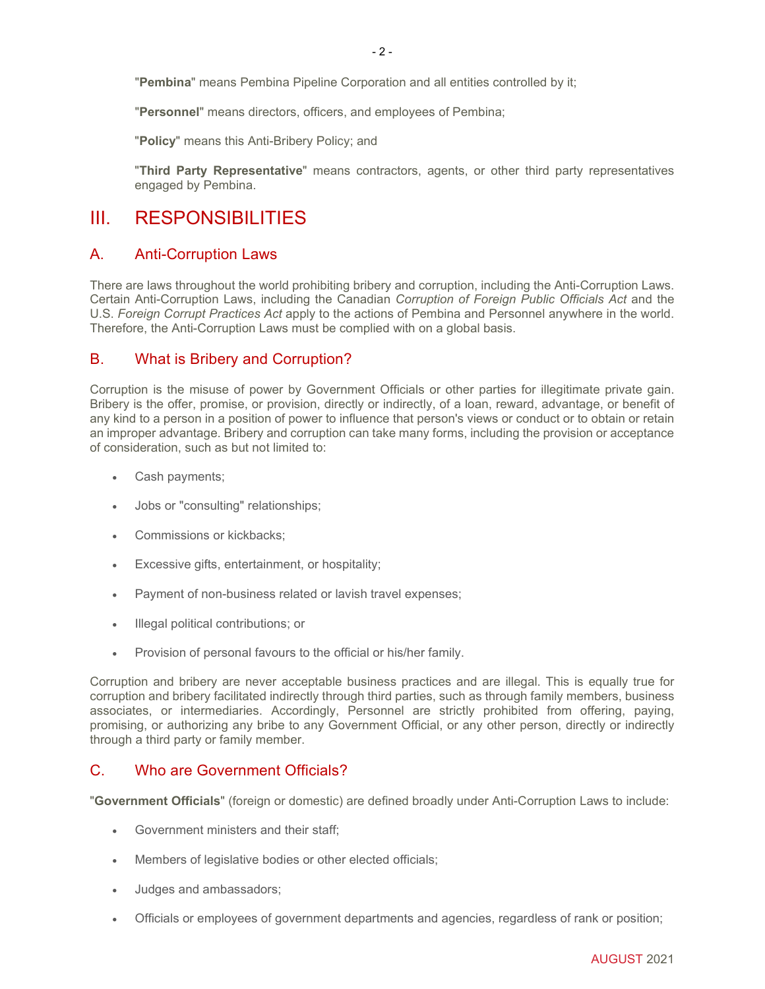"**Pembina**" means Pembina Pipeline Corporation and all entities controlled by it;

"**Personnel**" means directors, officers, and employees of Pembina;

"**Policy**" means this Anti-Bribery Policy; and

"**Third Party Representative**" means contractors, agents, or other third party representatives engaged by Pembina.

# III. RESPONSIBILITIES

# A. Anti-Corruption Laws

There are laws throughout the world prohibiting bribery and corruption, including the Anti-Corruption Laws. Certain Anti-Corruption Laws, including the Canadian *Corruption of Foreign Public Officials Act* and the U.S. *Foreign Corrupt Practices Act* apply to the actions of Pembina and Personnel anywhere in the world. Therefore, the Anti-Corruption Laws must be complied with on a global basis.

# B. What is Bribery and Corruption?

Corruption is the misuse of power by Government Officials or other parties for illegitimate private gain. Bribery is the offer, promise, or provision, directly or indirectly, of a loan, reward, advantage, or benefit of any kind to a person in a position of power to influence that person's views or conduct or to obtain or retain an improper advantage. Bribery and corruption can take many forms, including the provision or acceptance of consideration, such as but not limited to:

- Cash payments;
- Jobs or "consulting" relationships;
- Commissions or kickbacks;
- Excessive gifts, entertainment, or hospitality;
- Payment of non-business related or lavish travel expenses;
- Illegal political contributions; or
- Provision of personal favours to the official or his/her family.

Corruption and bribery are never acceptable business practices and are illegal. This is equally true for corruption and bribery facilitated indirectly through third parties, such as through family members, business associates, or intermediaries. Accordingly, Personnel are strictly prohibited from offering, paying, promising, or authorizing any bribe to any Government Official, or any other person, directly or indirectly through a third party or family member.

# C. Who are Government Officials?

"**Government Officials**" (foreign or domestic) are defined broadly under Anti-Corruption Laws to include:

- Government ministers and their staff;
- Members of legislative bodies or other elected officials;
- Judges and ambassadors;
- Officials or employees of government departments and agencies, regardless of rank or position;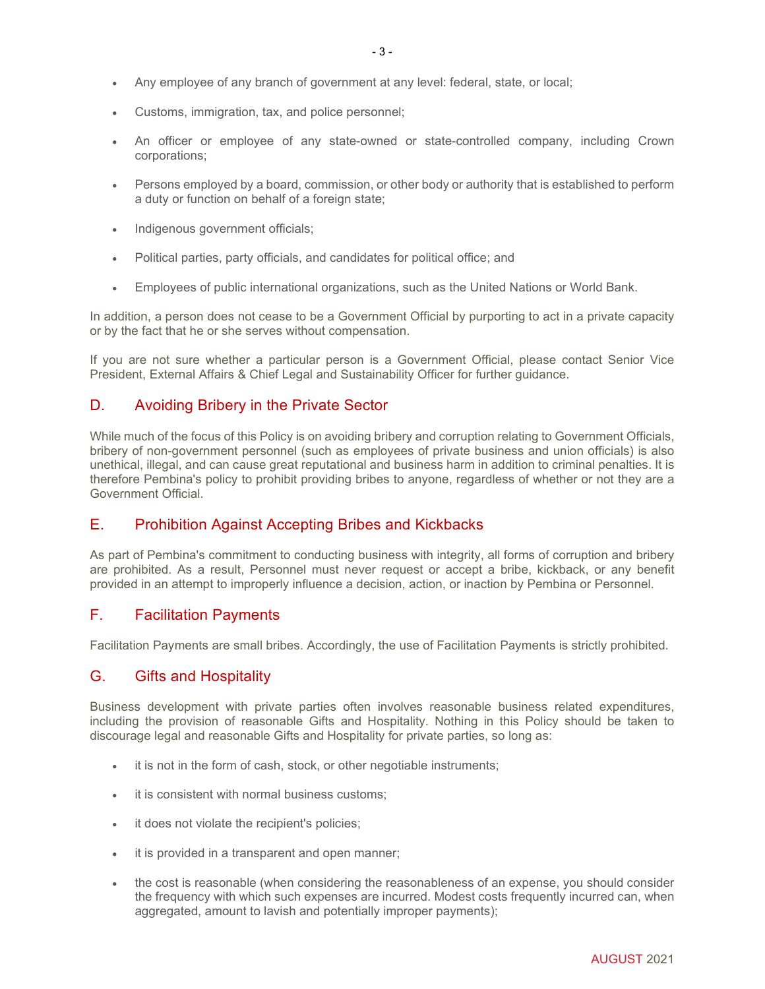- Customs, immigration, tax, and police personnel;
- An officer or employee of any state-owned or state-controlled company, including Crown corporations;
- Persons employed by a board, commission, or other body or authority that is established to perform a duty or function on behalf of a foreign state;
- Indigenous government officials;
- Political parties, party officials, and candidates for political office; and
- Employees of public international organizations, such as the United Nations or World Bank.

In addition, a person does not cease to be a Government Official by purporting to act in a private capacity or by the fact that he or she serves without compensation.

If you are not sure whether a particular person is a Government Official, please contact Senior Vice President, External Affairs & Chief Legal and Sustainability Officer for further guidance.

# D. Avoiding Bribery in the Private Sector

While much of the focus of this Policy is on avoiding bribery and corruption relating to Government Officials, bribery of non-government personnel (such as employees of private business and union officials) is also unethical, illegal, and can cause great reputational and business harm in addition to criminal penalties. It is therefore Pembina's policy to prohibit providing bribes to anyone, regardless of whether or not they are a Government Official.

# E. Prohibition Against Accepting Bribes and Kickbacks

As part of Pembina's commitment to conducting business with integrity, all forms of corruption and bribery are prohibited. As a result, Personnel must never request or accept a bribe, kickback, or any benefit provided in an attempt to improperly influence a decision, action, or inaction by Pembina or Personnel.

# F. Facilitation Payments

Facilitation Payments are small bribes. Accordingly, the use of Facilitation Payments is strictly prohibited.

# G. Gifts and Hospitality

Business development with private parties often involves reasonable business related expenditures, including the provision of reasonable Gifts and Hospitality. Nothing in this Policy should be taken to discourage legal and reasonable Gifts and Hospitality for private parties, so long as:

- it is not in the form of cash, stock, or other negotiable instruments;
- it is consistent with normal business customs:
- it does not violate the recipient's policies;
- it is provided in a transparent and open manner;
- the cost is reasonable (when considering the reasonableness of an expense, you should consider the frequency with which such expenses are incurred. Modest costs frequently incurred can, when aggregated, amount to lavish and potentially improper payments);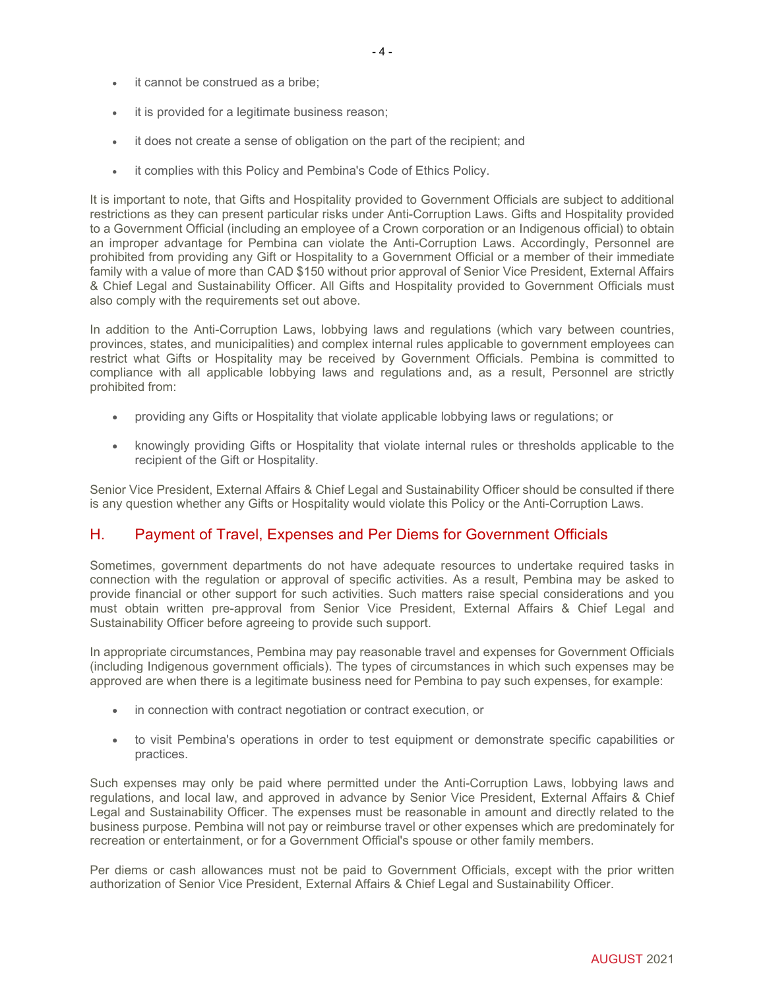- it cannot be construed as a bribe;
- it is provided for a legitimate business reason;
- it does not create a sense of obligation on the part of the recipient; and
- it complies with this Policy and Pembina's Code of Ethics Policy.

It is important to note, that Gifts and Hospitality provided to Government Officials are subject to additional restrictions as they can present particular risks under Anti-Corruption Laws. Gifts and Hospitality provided to a Government Official (including an employee of a Crown corporation or an Indigenous official) to obtain an improper advantage for Pembina can violate the Anti-Corruption Laws. Accordingly, Personnel are prohibited from providing any Gift or Hospitality to a Government Official or a member of their immediate family with a value of more than CAD \$150 without prior approval of Senior Vice President, External Affairs & Chief Legal and Sustainability Officer. All Gifts and Hospitality provided to Government Officials must also comply with the requirements set out above.

In addition to the Anti-Corruption Laws, lobbying laws and regulations (which vary between countries, provinces, states, and municipalities) and complex internal rules applicable to government employees can restrict what Gifts or Hospitality may be received by Government Officials. Pembina is committed to compliance with all applicable lobbying laws and regulations and, as a result, Personnel are strictly prohibited from:

- providing any Gifts or Hospitality that violate applicable lobbying laws or regulations; or
- knowingly providing Gifts or Hospitality that violate internal rules or thresholds applicable to the recipient of the Gift or Hospitality.

Senior Vice President, External Affairs & Chief Legal and Sustainability Officer should be consulted if there is any question whether any Gifts or Hospitality would violate this Policy or the Anti-Corruption Laws.

#### H. Payment of Travel, Expenses and Per Diems for Government Officials

Sometimes, government departments do not have adequate resources to undertake required tasks in connection with the regulation or approval of specific activities. As a result, Pembina may be asked to provide financial or other support for such activities. Such matters raise special considerations and you must obtain written pre-approval from Senior Vice President, External Affairs & Chief Legal and Sustainability Officer before agreeing to provide such support.

In appropriate circumstances, Pembina may pay reasonable travel and expenses for Government Officials (including Indigenous government officials). The types of circumstances in which such expenses may be approved are when there is a legitimate business need for Pembina to pay such expenses, for example:

- in connection with contract negotiation or contract execution, or
- to visit Pembina's operations in order to test equipment or demonstrate specific capabilities or practices.

Such expenses may only be paid where permitted under the Anti-Corruption Laws, lobbying laws and regulations, and local law, and approved in advance by Senior Vice President, External Affairs & Chief Legal and Sustainability Officer. The expenses must be reasonable in amount and directly related to the business purpose. Pembina will not pay or reimburse travel or other expenses which are predominately for recreation or entertainment, or for a Government Official's spouse or other family members.

Per diems or cash allowances must not be paid to Government Officials, except with the prior written authorization of Senior Vice President, External Affairs & Chief Legal and Sustainability Officer.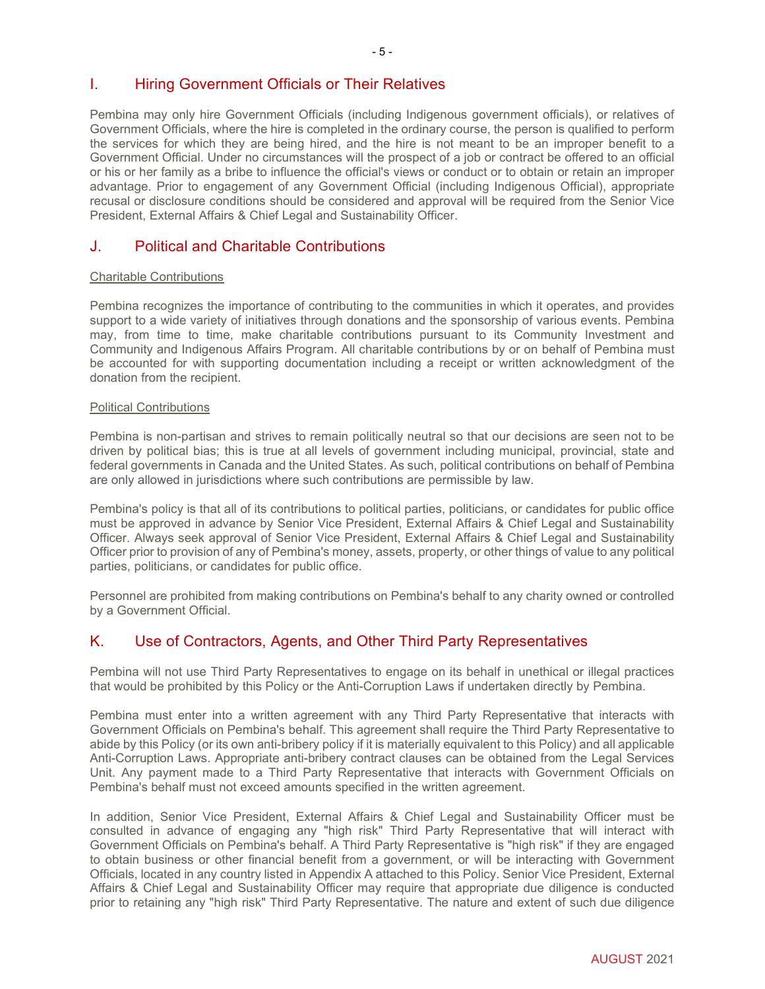Pembina may only hire Government Officials (including Indigenous government officials), or relatives of Government Officials, where the hire is completed in the ordinary course, the person is qualified to perform the services for which they are being hired, and the hire is not meant to be an improper benefit to a Government Official. Under no circumstances will the prospect of a job or contract be offered to an official or his or her family as a bribe to influence the official's views or conduct or to obtain or retain an improper advantage. Prior to engagement of any Government Official (including Indigenous Official), appropriate recusal or disclosure conditions should be considered and approval will be required from the Senior Vice President, External Affairs & Chief Legal and Sustainability Officer.

# J. Political and Charitable Contributions

#### Charitable Contributions

Pembina recognizes the importance of contributing to the communities in which it operates, and provides support to a wide variety of initiatives through donations and the sponsorship of various events. Pembina may, from time to time, make charitable contributions pursuant to its Community Investment and Community and Indigenous Affairs Program. All charitable contributions by or on behalf of Pembina must be accounted for with supporting documentation including a receipt or written acknowledgment of the donation from the recipient.

#### Political Contributions

Pembina is non-partisan and strives to remain politically neutral so that our decisions are seen not to be driven by political bias; this is true at all levels of government including municipal, provincial, state and federal governments in Canada and the United States. As such, political contributions on behalf of Pembina are only allowed in jurisdictions where such contributions are permissible by law.

Pembina's policy is that all of its contributions to political parties, politicians, or candidates for public office must be approved in advance by Senior Vice President, External Affairs & Chief Legal and Sustainability Officer. Always seek approval of Senior Vice President, External Affairs & Chief Legal and Sustainability Officer prior to provision of any of Pembina's money, assets, property, or other things of value to any political parties, politicians, or candidates for public office.

Personnel are prohibited from making contributions on Pembina's behalf to any charity owned or controlled by a Government Official.

# K. Use of Contractors, Agents, and Other Third Party Representatives

Pembina will not use Third Party Representatives to engage on its behalf in unethical or illegal practices that would be prohibited by this Policy or the Anti-Corruption Laws if undertaken directly by Pembina.

Pembina must enter into a written agreement with any Third Party Representative that interacts with Government Officials on Pembina's behalf. This agreement shall require the Third Party Representative to abide by this Policy (or its own anti-bribery policy if it is materially equivalent to this Policy) and all applicable Anti-Corruption Laws. Appropriate anti-bribery contract clauses can be obtained from the Legal Services Unit. Any payment made to a Third Party Representative that interacts with Government Officials on Pembina's behalf must not exceed amounts specified in the written agreement.

In addition, Senior Vice President, External Affairs & Chief Legal and Sustainability Officer must be consulted in advance of engaging any "high risk" Third Party Representative that will interact with Government Officials on Pembina's behalf. A Third Party Representative is "high risk" if they are engaged to obtain business or other financial benefit from a government, or will be interacting with Government Officials, located in any country listed in Appendix A attached to this Policy. Senior Vice President, External Affairs & Chief Legal and Sustainability Officer may require that appropriate due diligence is conducted prior to retaining any "high risk" Third Party Representative. The nature and extent of such due diligence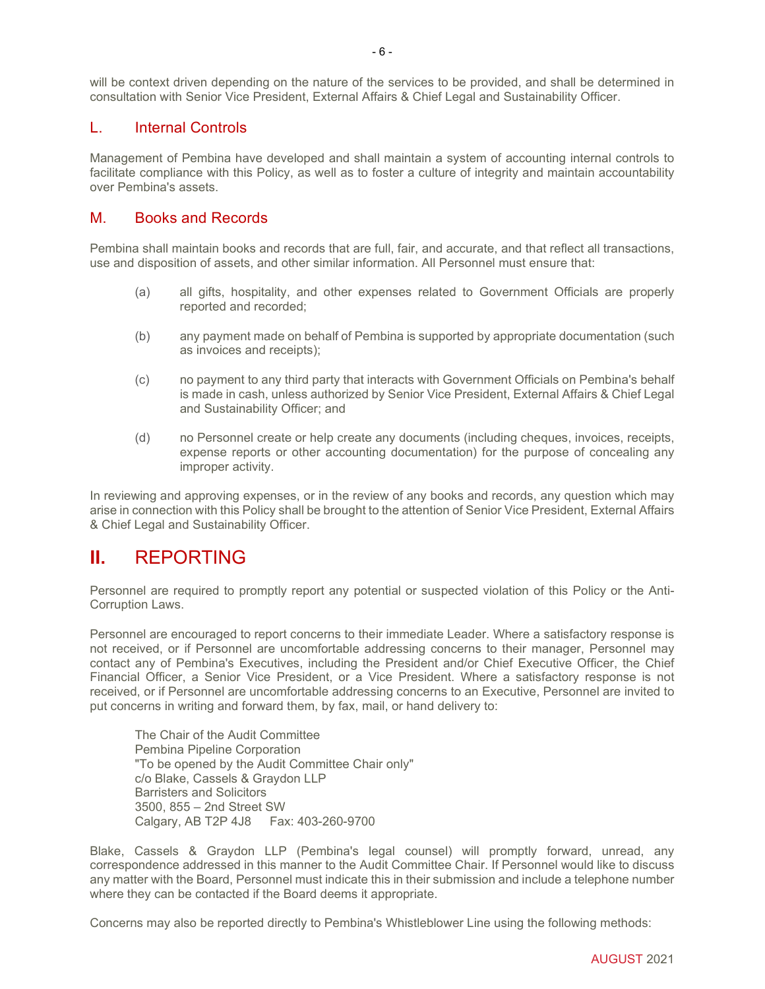will be context driven depending on the nature of the services to be provided, and shall be determined in consultation with Senior Vice President, External Affairs & Chief Legal and Sustainability Officer.

#### L. Internal Controls

Management of Pembina have developed and shall maintain a system of accounting internal controls to facilitate compliance with this Policy, as well as to foster a culture of integrity and maintain accountability over Pembina's assets.

### M. Books and Records

Pembina shall maintain books and records that are full, fair, and accurate, and that reflect all transactions, use and disposition of assets, and other similar information. All Personnel must ensure that:

- (a) all gifts, hospitality, and other expenses related to Government Officials are properly reported and recorded;
- (b) any payment made on behalf of Pembina is supported by appropriate documentation (such as invoices and receipts);
- (c) no payment to any third party that interacts with Government Officials on Pembina's behalf is made in cash, unless authorized by Senior Vice President, External Affairs & Chief Legal and Sustainability Officer; and
- (d) no Personnel create or help create any documents (including cheques, invoices, receipts, expense reports or other accounting documentation) for the purpose of concealing any improper activity.

In reviewing and approving expenses, or in the review of any books and records, any question which may arise in connection with this Policy shall be brought to the attention of Senior Vice President, External Affairs & Chief Legal and Sustainability Officer.

# **II.** REPORTING

Personnel are required to promptly report any potential or suspected violation of this Policy or the Anti-Corruption Laws.

Personnel are encouraged to report concerns to their immediate Leader. Where a satisfactory response is not received, or if Personnel are uncomfortable addressing concerns to their manager, Personnel may contact any of Pembina's Executives, including the President and/or Chief Executive Officer, the Chief Financial Officer, a Senior Vice President, or a Vice President. Where a satisfactory response is not received, or if Personnel are uncomfortable addressing concerns to an Executive, Personnel are invited to put concerns in writing and forward them, by fax, mail, or hand delivery to:

The Chair of the Audit Committee Pembina Pipeline Corporation "To be opened by the Audit Committee Chair only" c/o Blake, Cassels & Graydon LLP Barristers and Solicitors 3500, 855 – 2nd Street SW Calgary, AB T2P 4J8 Fax: 403-260-9700

Blake, Cassels & Graydon LLP (Pembina's legal counsel) will promptly forward, unread, any correspondence addressed in this manner to the Audit Committee Chair. If Personnel would like to discuss any matter with the Board, Personnel must indicate this in their submission and include a telephone number where they can be contacted if the Board deems it appropriate.

Concerns may also be reported directly to Pembina's Whistleblower Line using the following methods: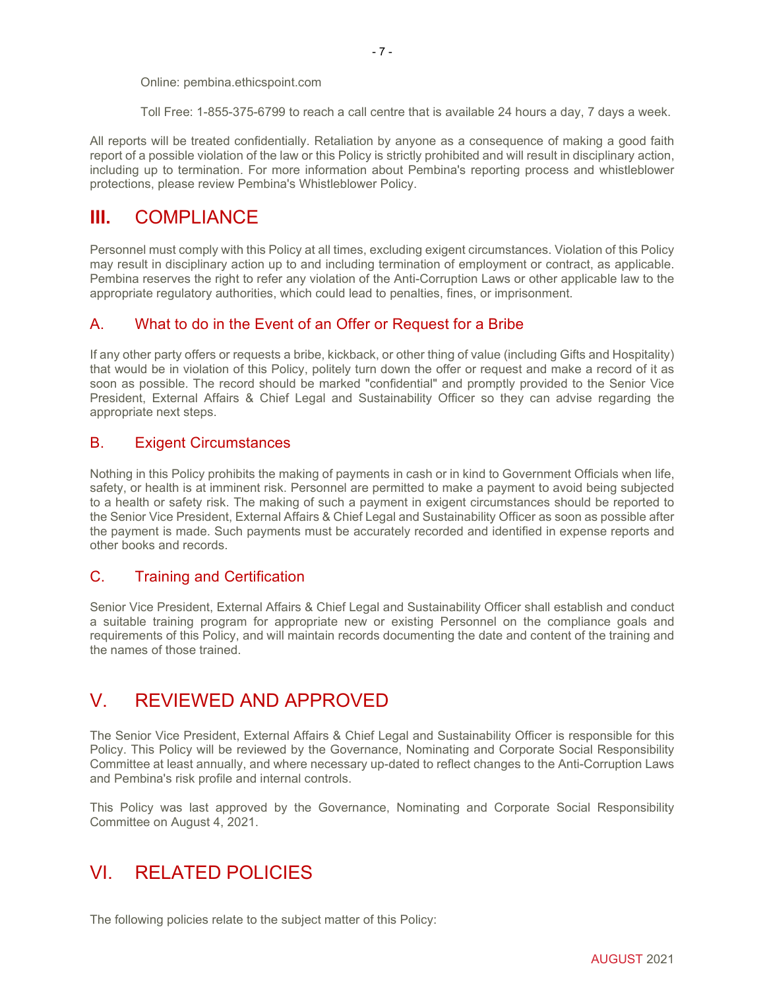Online: pembina.ethicspoint.com

Toll Free: 1-855-375-6799 to reach a call centre that is available 24 hours a day, 7 days a week.

All reports will be treated confidentially. Retaliation by anyone as a consequence of making a good faith report of a possible violation of the law or this Policy is strictly prohibited and will result in disciplinary action, including up to termination. For more information about Pembina's reporting process and whistleblower protections, please review Pembina's Whistleblower Policy.

# **III.** COMPLIANCE

Personnel must comply with this Policy at all times, excluding exigent circumstances. Violation of this Policy may result in disciplinary action up to and including termination of employment or contract, as applicable. Pembina reserves the right to refer any violation of the Anti-Corruption Laws or other applicable law to the appropriate regulatory authorities, which could lead to penalties, fines, or imprisonment.

# A. What to do in the Event of an Offer or Request for a Bribe

If any other party offers or requests a bribe, kickback, or other thing of value (including Gifts and Hospitality) that would be in violation of this Policy, politely turn down the offer or request and make a record of it as soon as possible. The record should be marked "confidential" and promptly provided to the Senior Vice President, External Affairs & Chief Legal and Sustainability Officer so they can advise regarding the appropriate next steps.

# B. Exigent Circumstances

Nothing in this Policy prohibits the making of payments in cash or in kind to Government Officials when life, safety, or health is at imminent risk. Personnel are permitted to make a payment to avoid being subjected to a health or safety risk. The making of such a payment in exigent circumstances should be reported to the Senior Vice President, External Affairs & Chief Legal and Sustainability Officer as soon as possible after the payment is made. Such payments must be accurately recorded and identified in expense reports and other books and records.

# C. Training and Certification

Senior Vice President, External Affairs & Chief Legal and Sustainability Officer shall establish and conduct a suitable training program for appropriate new or existing Personnel on the compliance goals and requirements of this Policy, and will maintain records documenting the date and content of the training and the names of those trained.

# V. REVIEWED AND APPROVED

The Senior Vice President, External Affairs & Chief Legal and Sustainability Officer is responsible for this Policy. This Policy will be reviewed by the Governance, Nominating and Corporate Social Responsibility Committee at least annually, and where necessary up-dated to reflect changes to the Anti-Corruption Laws and Pembina's risk profile and internal controls.

This Policy was last approved by the Governance, Nominating and Corporate Social Responsibility Committee on August 4, 2021.

# VI. RELATED POLICIES

The following policies relate to the subject matter of this Policy: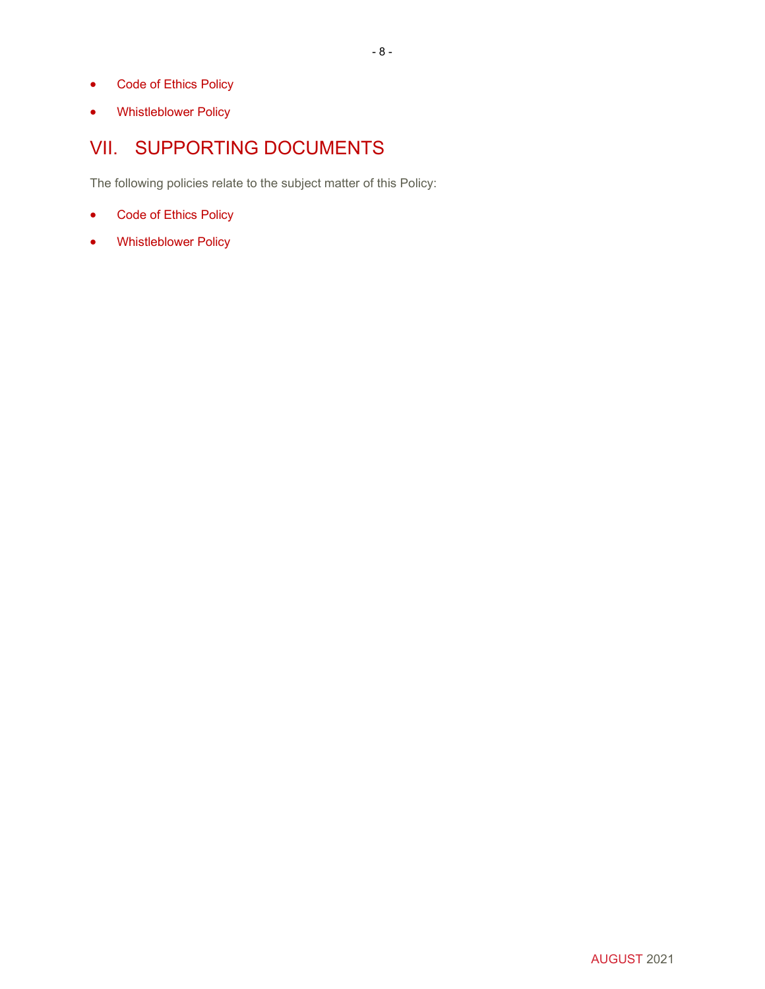- Code of Ethics Policy
- Whistleblower Policy

# VII. SUPPORTING DOCUMENTS

The following policies relate to the subject matter of this Policy:

- Code of Ethics Policy
- Whistleblower Policy